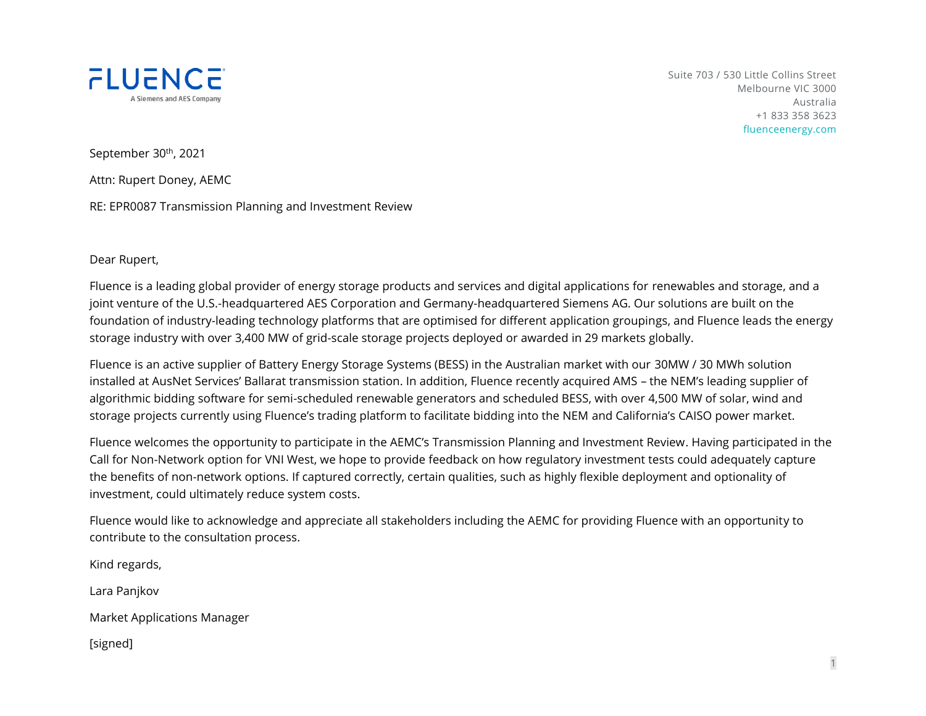

Suite 703 / 530 Little Collins Street Melbourne VIC 3000 Australia +1 833 358 3623 fluenceenergy.com

1

September 30<sup>th</sup>, 2021

Attn: Rupert Doney, AEMC

RE: EPR0087 Transmission Planning and Investment Review

Dear Rupert,

Fluence is a leading global provider of energy storage products and services and digital applications for renewables and storage, and a joint venture of the U.S.-headquartered AES Corporation and Germany-headquartered Siemens AG. Our solutions are built on the foundation of industry-leading technology platforms that are optimised for different application groupings, and Fluence leads the energy storage industry with over 3,400 MW of grid-scale storage projects deployed or awarded in 29 markets globally.

Fluence is an active supplier of Battery Energy Storage Systems (BESS) in the Australian market with our 30MW / 30 MWh solution installed at AusNet Services' Ballarat transmission station. In addition, Fluence recently acquired AMS – the NEM's leading supplier of algorithmic bidding software for semi-scheduled renewable generators and scheduled BESS, with over 4,500 MW of solar, wind and storage projects currently using Fluence's trading platform to facilitate bidding into the NEM and California's CAISO power market.

Fluence welcomes the opportunity to participate in the AEMC's Transmission Planning and Investment Review. Having participated in the Call for Non-Network option for VNI West, we hope to provide feedback on how regulatory investment tests could adequately capture the benefits of non-network options. If captured correctly, certain qualities, such as highly flexible deployment and optionality of investment, could ultimately reduce system costs.

Fluence would like to acknowledge and appreciate all stakeholders including the AEMC for providing Fluence with an opportunity to contribute to the consultation process.

Kind regards,

Lara Panjkov

Market Applications Manager

[signed]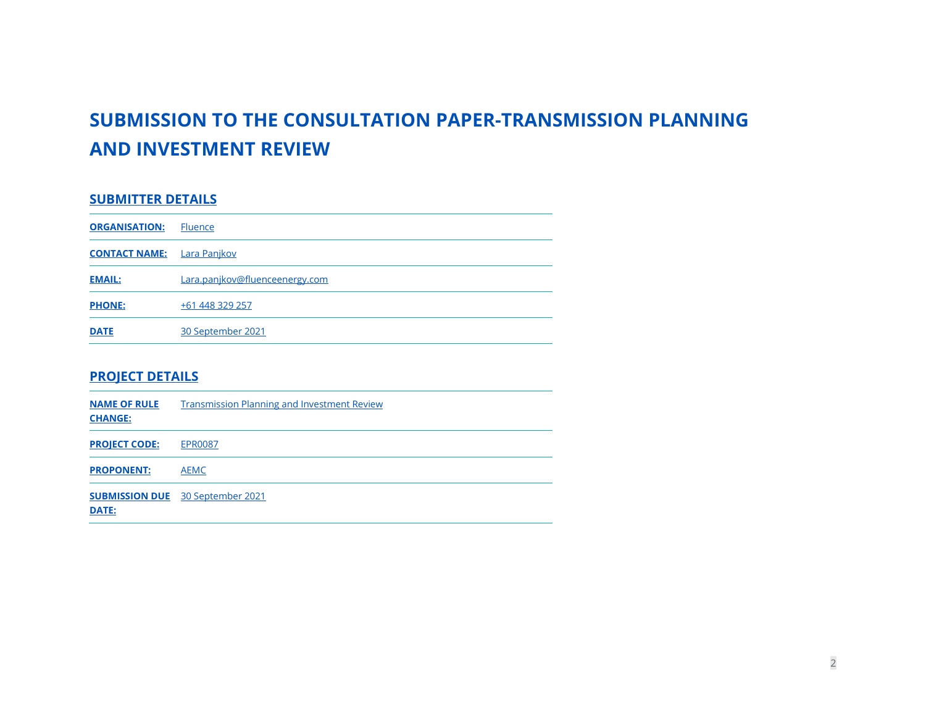# **SUBMISSION TO THE CONSULTATION PAPER-TRANSMISSION PLANNING AND INVESTMENT REVIEW**

### **SUBMITTER DETAILS**

| <b>ORGANISATION:</b> | <b>Fluence</b>                 |
|----------------------|--------------------------------|
| <b>CONTACT NAME:</b> | <u>Lara Panjkov</u>            |
| <b>EMAIL:</b>        | Lara.panjkov@fluenceenergy.com |
| <b>PHONE:</b>        | +61 448 329 257                |
| <b>DATE</b>          | 30 September 2021              |

#### **PROJECT DETAILS**

| <b>NAME OF RULE</b><br><b>CHANGE:</b> | <b>Transmission Planning and Investment Review</b> |
|---------------------------------------|----------------------------------------------------|
| <b>PROJECT CODE:</b>                  | <b>EPR0087</b>                                     |
| <b>PROPONENT:</b>                     | <b>AEMC</b>                                        |
| DATE:                                 | <b>SUBMISSION DUE</b> 30 September 2021            |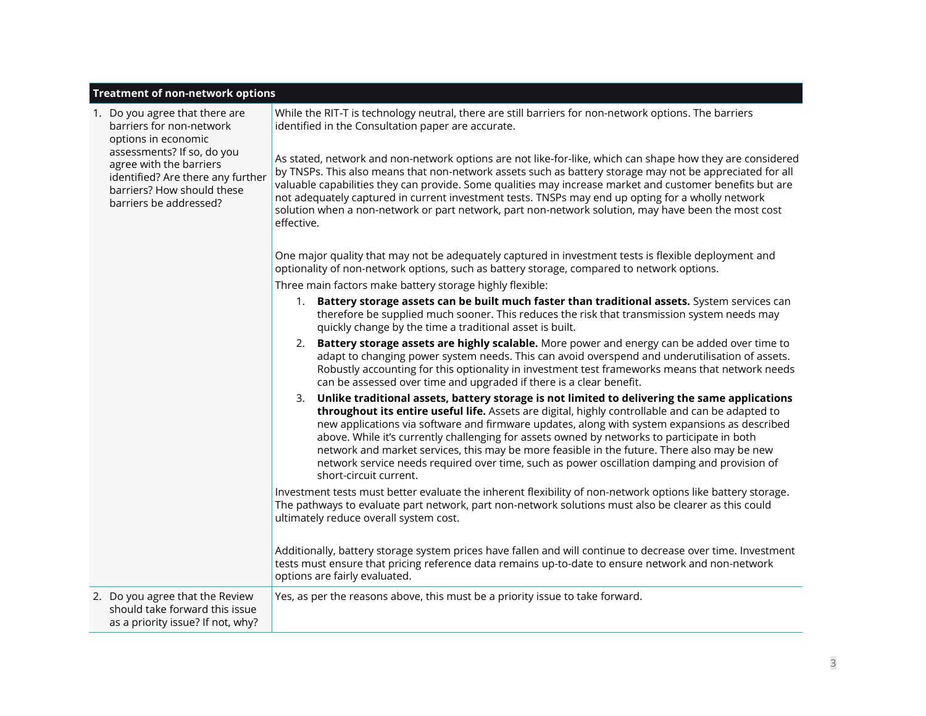#### **Treatment of non-network options**

┯

|  | 1. Do you agree that there are<br>barriers for non-network<br>options in economic<br>assessments? If so, do you<br>agree with the barriers<br>identified? Are there any further<br>barriers? How should these<br>barriers be addressed? | While the RIT-T is technology neutral, there are still barriers for non-network options. The barriers<br>identified in the Consultation paper are accurate.<br>As stated, network and non-network options are not like-for-like, which can shape how they are considered<br>by TNSPs. This also means that non-network assets such as battery storage may not be appreciated for all<br>valuable capabilities they can provide. Some qualities may increase market and customer benefits but are<br>not adequately captured in current investment tests. TNSPs may end up opting for a wholly network<br>solution when a non-network or part network, part non-network solution, may have been the most cost<br>effective. |
|--|-----------------------------------------------------------------------------------------------------------------------------------------------------------------------------------------------------------------------------------------|----------------------------------------------------------------------------------------------------------------------------------------------------------------------------------------------------------------------------------------------------------------------------------------------------------------------------------------------------------------------------------------------------------------------------------------------------------------------------------------------------------------------------------------------------------------------------------------------------------------------------------------------------------------------------------------------------------------------------|
|  |                                                                                                                                                                                                                                         | One major quality that may not be adequately captured in investment tests is flexible deployment and<br>optionality of non-network options, such as battery storage, compared to network options.                                                                                                                                                                                                                                                                                                                                                                                                                                                                                                                          |
|  |                                                                                                                                                                                                                                         | Three main factors make battery storage highly flexible:                                                                                                                                                                                                                                                                                                                                                                                                                                                                                                                                                                                                                                                                   |
|  |                                                                                                                                                                                                                                         | Battery storage assets can be built much faster than traditional assets. System services can<br>1.<br>therefore be supplied much sooner. This reduces the risk that transmission system needs may<br>quickly change by the time a traditional asset is built.                                                                                                                                                                                                                                                                                                                                                                                                                                                              |
|  |                                                                                                                                                                                                                                         | Battery storage assets are highly scalable. More power and energy can be added over time to<br>adapt to changing power system needs. This can avoid overspend and underutilisation of assets.<br>Robustly accounting for this optionality in investment test frameworks means that network needs<br>can be assessed over time and upgraded if there is a clear benefit.                                                                                                                                                                                                                                                                                                                                                    |
|  |                                                                                                                                                                                                                                         | Unlike traditional assets, battery storage is not limited to delivering the same applications<br>3.<br>throughout its entire useful life. Assets are digital, highly controllable and can be adapted to<br>new applications via software and firmware updates, along with system expansions as described<br>above. While it's currently challenging for assets owned by networks to participate in both<br>network and market services, this may be more feasible in the future. There also may be new<br>network service needs required over time, such as power oscillation damping and provision of<br>short-circuit current.                                                                                           |
|  |                                                                                                                                                                                                                                         | Investment tests must better evaluate the inherent flexibility of non-network options like battery storage.<br>The pathways to evaluate part network, part non-network solutions must also be clearer as this could<br>ultimately reduce overall system cost.                                                                                                                                                                                                                                                                                                                                                                                                                                                              |
|  |                                                                                                                                                                                                                                         | Additionally, battery storage system prices have fallen and will continue to decrease over time. Investment<br>tests must ensure that pricing reference data remains up-to-date to ensure network and non-network<br>options are fairly evaluated.                                                                                                                                                                                                                                                                                                                                                                                                                                                                         |
|  | 2. Do you agree that the Review<br>should take forward this issue<br>as a priority issue? If not, why?                                                                                                                                  | Yes, as per the reasons above, this must be a priority issue to take forward.                                                                                                                                                                                                                                                                                                                                                                                                                                                                                                                                                                                                                                              |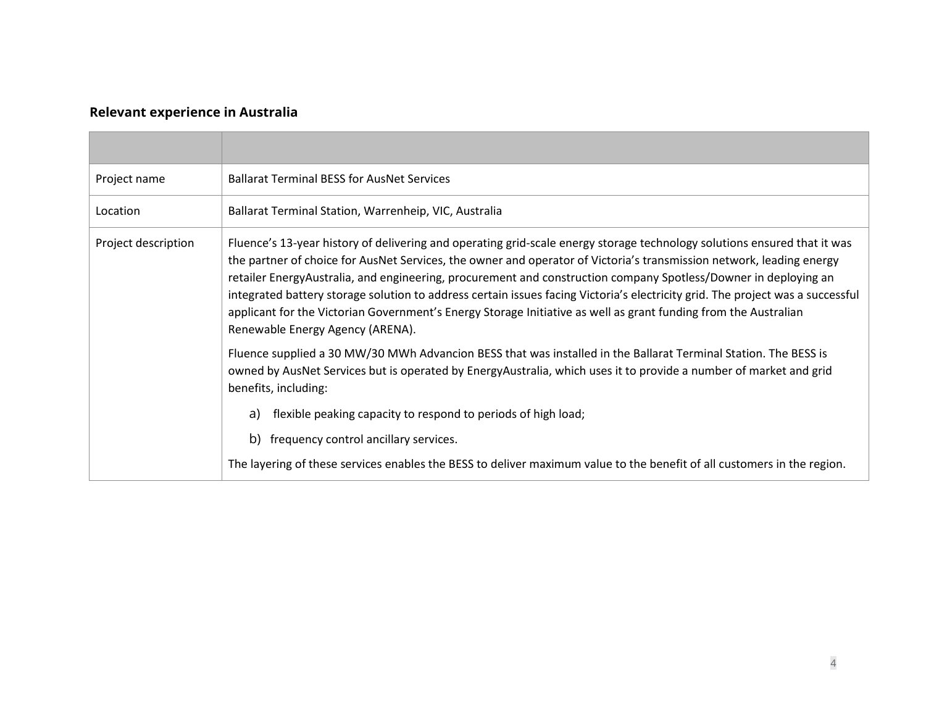## **Relevant experience in Australia**

| Project name        | <b>Ballarat Terminal BESS for AusNet Services</b>                                                                                                                                                                                                                                                                                                                                                                                                                                                                                                                                                                                                            |
|---------------------|--------------------------------------------------------------------------------------------------------------------------------------------------------------------------------------------------------------------------------------------------------------------------------------------------------------------------------------------------------------------------------------------------------------------------------------------------------------------------------------------------------------------------------------------------------------------------------------------------------------------------------------------------------------|
| Location            | Ballarat Terminal Station, Warrenheip, VIC, Australia                                                                                                                                                                                                                                                                                                                                                                                                                                                                                                                                                                                                        |
| Project description | Fluence's 13-year history of delivering and operating grid-scale energy storage technology solutions ensured that it was<br>the partner of choice for AusNet Services, the owner and operator of Victoria's transmission network, leading energy<br>retailer EnergyAustralia, and engineering, procurement and construction company Spotless/Downer in deploying an<br>integrated battery storage solution to address certain issues facing Victoria's electricity grid. The project was a successful<br>applicant for the Victorian Government's Energy Storage Initiative as well as grant funding from the Australian<br>Renewable Energy Agency (ARENA). |
|                     | Fluence supplied a 30 MW/30 MWh Advancion BESS that was installed in the Ballarat Terminal Station. The BESS is<br>owned by AusNet Services but is operated by EnergyAustralia, which uses it to provide a number of market and grid<br>benefits, including:                                                                                                                                                                                                                                                                                                                                                                                                 |
|                     | flexible peaking capacity to respond to periods of high load;<br>a)                                                                                                                                                                                                                                                                                                                                                                                                                                                                                                                                                                                          |
|                     | frequency control ancillary services.<br>b)                                                                                                                                                                                                                                                                                                                                                                                                                                                                                                                                                                                                                  |
|                     | The layering of these services enables the BESS to deliver maximum value to the benefit of all customers in the region.                                                                                                                                                                                                                                                                                                                                                                                                                                                                                                                                      |